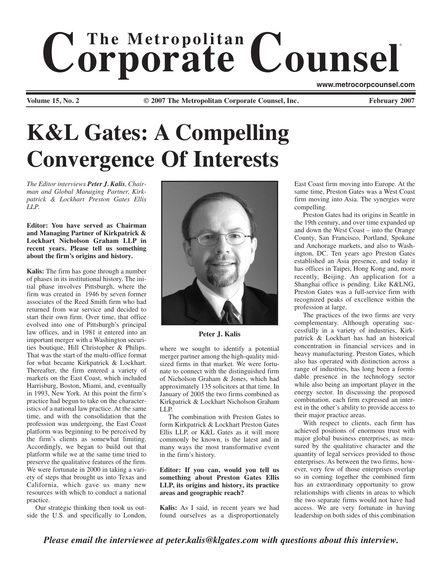# $$ ® **www.metrocorpcounsel.com**

**Volume 15, No. 2 Cauca 2007 Cauca 2007 Connect Counsel, Inc.** February 2007

# **K&L Gates: A Compelling Convergence Of Interests**

*The Editor interviews Peter J. Kalis, Chairman and Global Managing Partner, Kirkpatrick & Lockhart Preston Gates Ellis LLP.*

## **Editor: You have served as Chairman and Managing Partner of Kirkpatrick & Lockhart Nicholson Graham LLP in recent years. Please tell us something about the firm's origins and history.**

**Kalis:** The firm has gone through a number of phases in its institutional history. The initial phase involves Pittsburgh, where the firm was created in 1946 by seven former associates of the Reed Smith firm who had returned from war service and decided to start their own firm. Over time, that office evolved into one of Pittsburgh's principal law offices, and in 1981 it entered into an important merger with a Washington securities boutique, Hill Christopher & Philips. That was the start of the multi-office format for what became Kirkpatrick & Lockhart. Thereafter, the firm entered a variety of markets on the East Coast, which included Harrisburg, Boston, Miami, and, eventually in 1993, New York. At this point the firm's practice had begun to take on the characteristics of a national law practice. At the same time, and with the consolidation that the profession was undergoing, the East Coast platform was beginning to be perceived by the firm's clients as somewhat limiting. Accordingly, we began to build out that platform while we at the same time tried to preserve the qualitative features of the firm. We were fortunate in 2000 in taking a variety of steps that brought us into Texas and California, which gave us many new resources with which to conduct a national practice.

Our strategic thinking then took us outside the U.S. and specifically to London,



**Peter J. Kalis**

where we sought to identify a potential merger partner among the high-quality midsized firms in that market. We were fortunate to connect with the distinguished firm of Nicholson Graham & Jones, which had approximately 135 solicitors at that time. In January of 2005 the two firms combined as Kirkpatrick & Lockhart Nicholson Graham LLP.

The combination with Preston Gates to form Kirkpatrick & Lockhart Preston Gates Ellis LLP, or K&L Gates as it will more commonly be known, is the latest and in many ways the most transformative event in the firm's history.

# **Editor: If you can, would you tell us something about Preston Gates Ellis LLP, its origins and history, its practice areas and geographic reach?**

**Kalis:** As I said, in recent years we had found ourselves as a disproportionately

East Coast firm moving into Europe. At the same time, Preston Gates was a West Coast firm moving into Asia. The synergies were compelling.

Preston Gates had its origins in Seattle in the 19th century, and over time expanded up and down the West Coast – into the Orange County, San Francisco, Portland, Spokane and Anchorage markets, and also to Washington, DC. Ten years ago Preston Gates established an Asia presence, and today it has offices in Taipei, Hong Kong and, more recently, Beijing. An application for a Shanghai office is pending. Like K&LNG, Preston Gates was a full-service firm with recognized peaks of excellence within the profession at large.

The practices of the two firms are very complementary. Although operating successfully in a variety of industries, Kirkpatrick & Lockhart has had an historical concentration in financial services and in heavy manufacturing. Preston Gates, which also has operated with distinction across a range of industries, has long been a formidable presence in the technology sector while also being an important player in the energy sector. In discussing the proposed combination, each firm expressed an interest in the other's ability to provide access to their major practice areas.

With respect to clients, each firm has achieved positions of enormous trust with major global business enterprises, as measured by the qualitative character and the quantity of legal services provided to those enterprises. As between the two firms, however, very few of those enterprises overlap so in coming together the combined firm has an extraordinary opportunity to grow relationships with clients in areas to which the two separate firms would not have had access. We are very fortunate in having leadership on both sides of this combination